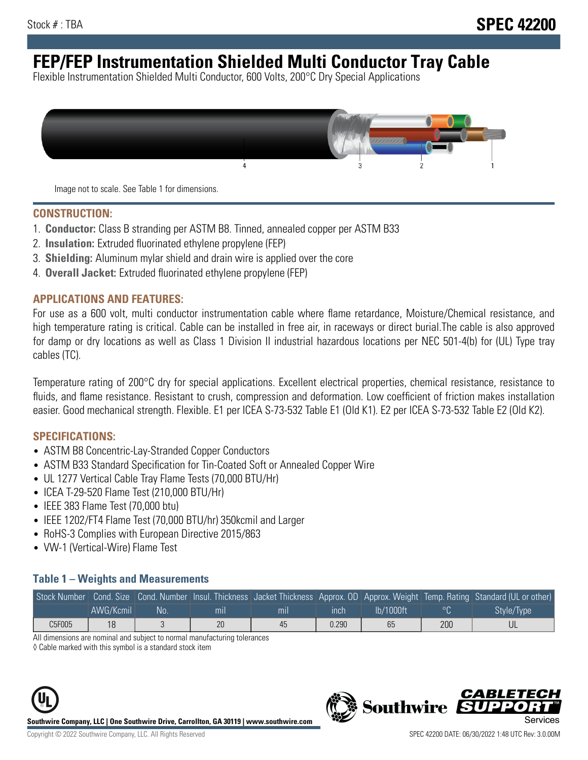# **FEP/FEP Instrumentation Shielded Multi Conductor Tray Cable**

Flexible Instrumentation Shielded Multi Conductor, 600 Volts, 200°C Dry Special Applications



Image not to scale. See Table 1 for dimensions.

#### **CONSTRUCTION:**

- 1. **Conductor:** Class B stranding per ASTM B8. Tinned, annealed copper per ASTM B33
- 2. **Insulation:** Extruded fluorinated ethylene propylene (FEP)
- 3. **Shielding:** Aluminum mylar shield and drain wire is applied over the core
- 4. **Overall Jacket:** Extruded fluorinated ethylene propylene (FEP)

#### **APPLICATIONS AND FEATURES:**

For use as a 600 volt, multi conductor instrumentation cable where flame retardance, Moisture/Chemical resistance, and high temperature rating is critical. Cable can be installed in free air, in raceways or direct burial.The cable is also approved for damp or dry locations as well as Class 1 Division II industrial hazardous locations per NEC 501-4(b) for (UL) Type tray cables (TC).

Temperature rating of 200°C dry for special applications. Excellent electrical properties, chemical resistance, resistance to fluids, and flame resistance. Resistant to crush, compression and deformation. Low coefficient of friction makes installation easier. Good mechanical strength. Flexible. E1 per ICEA S-73-532 Table E1 (Old K1). E2 per ICEA S-73-532 Table E2 (Old K2).

#### **SPECIFICATIONS:**

- ASTM B8 Concentric-Lay-Stranded Copper Conductors
- ASTM B33 Standard Specification for Tin-Coated Soft or Annealed Copper Wire
- UL 1277 Vertical Cable Tray Flame Tests (70,000 BTU/Hr)
- ICEA T-29-520 Flame Test (210,000 BTU/Hr)
- IEEE 383 Flame Test (70,000 btu)
- IEEE 1202/FT4 Flame Test (70,000 BTU/hr) 350kcmil and Larger
- RoHS-3 Complies with European Directive 2015/863
- VW-1 (Vertical-Wire) Flame Test

#### **Table 1 – Weights and Measurements**

|        |           |      |                |     |       |           |     | Stock Number Cond. Size Cond. Number Insul. Thickness Jacket Thickness Approx. OD Approx. Weight Temp. Rating Standard (UL or other) |
|--------|-----------|------|----------------|-----|-------|-----------|-----|--------------------------------------------------------------------------------------------------------------------------------------|
|        | AWG/Kcmil | .No: | m <sub>l</sub> | mıl | ınch  | lb/1000ft | ∘∩  | Style/Type                                                                                                                           |
| C5F005 | 18        |      | 20             | 45  | 0.290 | 65        | 200 |                                                                                                                                      |

All dimensions are nominal and subject to normal manufacturing tolerances

◊ Cable marked with this symbol is a standard stock item